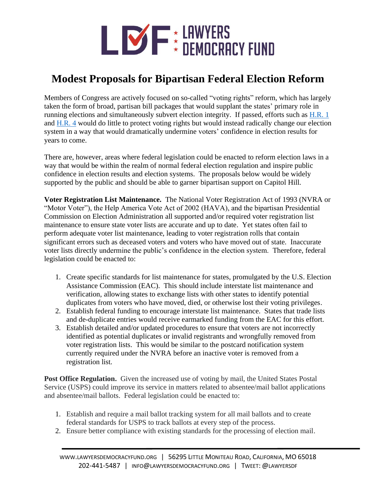

## **Modest Proposals for Bipartisan Federal Election Reform**

Members of Congress are actively focused on so-called "voting rights" reform, which has largely taken the form of broad, partisan bill packages that would supplant the states' primary role in running elections and simultaneously subvert election integrity. If passed, efforts such as [H.R.](https://lawyersdemocracyfund.org/other-issues/hr-1/) 1 and [H.R.](https://lawyersdemocracyfund.org/house-resolution-4-2021/) 4 would do little to protect voting rights but would instead radically change our election system in a way that would dramatically undermine voters' confidence in election results for years to come.

There are, however, areas where federal legislation could be enacted to reform election laws in a way that would be within the realm of normal federal election regulation and inspire public confidence in election results and election systems. The proposals below would be widely supported by the public and should be able to garner bipartisan support on Capitol Hill.

**Voter Registration List Maintenance.** The National Voter Registration Act of 1993 (NVRA or "Motor Voter"), the Help America Vote Act of 2002 (HAVA), and the bipartisan Presidential Commission on Election Administration all supported and/or required voter registration list maintenance to ensure state voter lists are accurate and up to date. Yet states often fail to perform adequate voter list maintenance, leading to voter registration rolls that contain significant errors such as deceased voters and voters who have moved out of state. Inaccurate voter lists directly undermine the public's confidence in the election system. Therefore, federal legislation could be enacted to:

- 1. Create specific standards for list maintenance for states, promulgated by the U.S. Election Assistance Commission (EAC). This should include interstate list maintenance and verification, allowing states to exchange lists with other states to identify potential duplicates from voters who have moved, died, or otherwise lost their voting privileges.
- 2. Establish federal funding to encourage interstate list maintenance. States that trade lists and de-duplicate entries would receive earmarked funding from the EAC for this effort.
- 3. Establish detailed and/or updated procedures to ensure that voters are not incorrectly identified as potential duplicates or invalid registrants and wrongfully removed from voter registration lists. This would be similar to the postcard notification system currently required under the NVRA before an inactive voter is removed from a registration list.

**Post Office Regulation.** Given the increased use of voting by mail, the United States Postal Service (USPS) could improve its service in matters related to absentee/mail ballot applications and absentee/mail ballots. Federal legislation could be enacted to:

- 1. Establish and require a mail ballot tracking system for all mail ballots and to create federal standards for USPS to track ballots at every step of the process.
- 2. Ensure better compliance with existing standards for the processing of election mail.